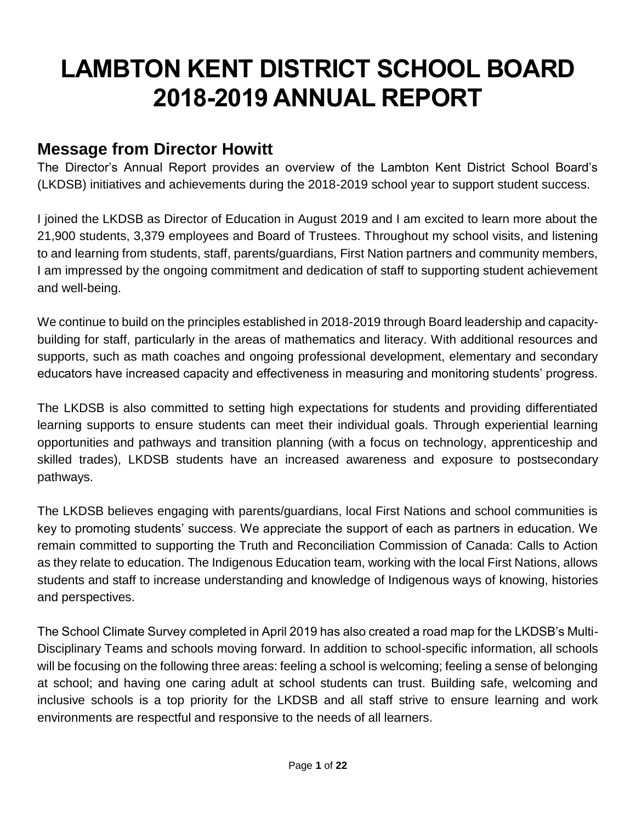# **LAMBTON KENT DISTRICT SCHOOL BOARD 2018-2019 ANNUAL REPORT**

# **Message from Director Howitt**

The Director's Annual Report provides an overview of the Lambton Kent District School Board's (LKDSB) initiatives and achievements during the 2018-2019 school year to support student success.

I joined the LKDSB as Director of Education in August 2019 and I am excited to learn more about the 21,900 students, 3,379 employees and Board of Trustees. Throughout my school visits, and listening to and learning from students, staff, parents/guardians, First Nation partners and community members, I am impressed by the ongoing commitment and dedication of staff to supporting student achievement and well-being.

We continue to build on the principles established in 2018-2019 through Board leadership and capacitybuilding for staff, particularly in the areas of mathematics and literacy. With additional resources and supports, such as math coaches and ongoing professional development, elementary and secondary educators have increased capacity and effectiveness in measuring and monitoring students' progress.

The LKDSB is also committed to setting high expectations for students and providing differentiated learning supports to ensure students can meet their individual goals. Through experiential learning opportunities and pathways and transition planning (with a focus on technology, apprenticeship and skilled trades), LKDSB students have an increased awareness and exposure to postsecondary pathways.

The LKDSB believes engaging with parents/guardians, local First Nations and school communities is key to promoting students' success. We appreciate the support of each as partners in education. We remain committed to supporting the Truth and Reconciliation Commission of Canada: Calls to Action as they relate to education. The Indigenous Education team, working with the local First Nations, allows students and staff to increase understanding and knowledge of Indigenous ways of knowing, histories and perspectives.

The School Climate Survey completed in April 2019 has also created a road map for the LKDSB's Multi-Disciplinary Teams and schools moving forward. In addition to school-specific information, all schools will be focusing on the following three areas: feeling a school is welcoming; feeling a sense of belonging at school; and having one caring adult at school students can trust. Building safe, welcoming and inclusive schools is a top priority for the LKDSB and all staff strive to ensure learning and work environments are respectful and responsive to the needs of all learners.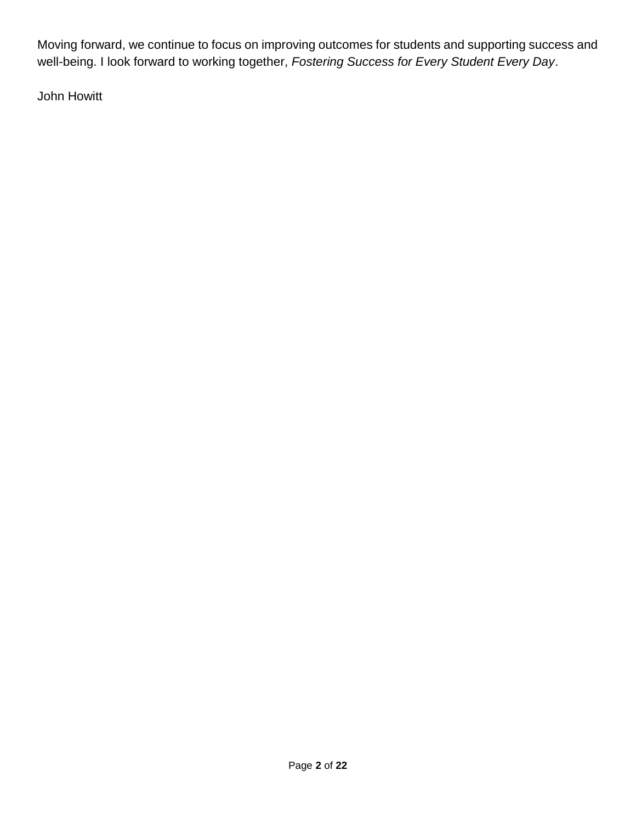Moving forward, we continue to focus on improving outcomes for students and supporting success and well-being. I look forward to working together, *Fostering Success for Every Student Every Day*.

John Howitt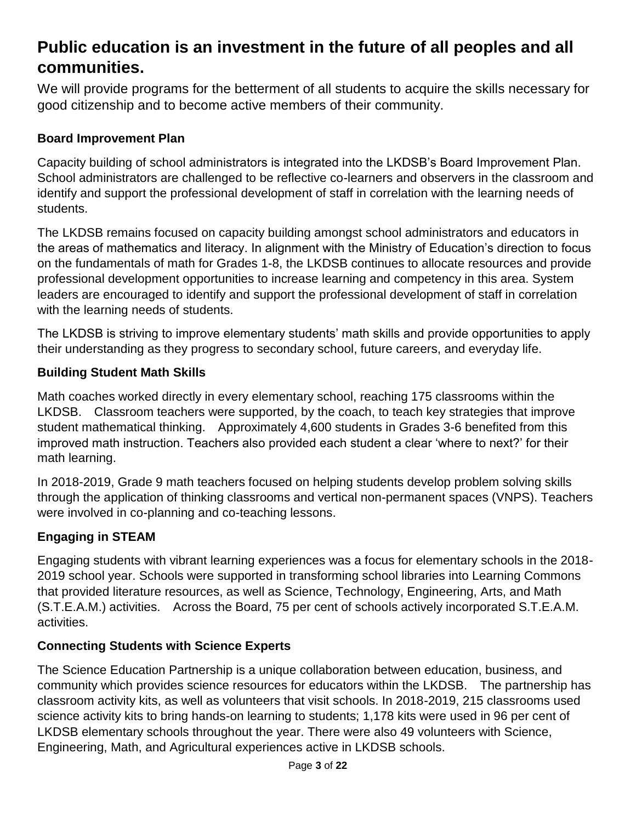# **Public education is an investment in the future of all peoples and all communities.**

We will provide programs for the betterment of all students to acquire the skills necessary for good citizenship and to become active members of their community.

### **Board Improvement Plan**

Capacity building of school administrators is integrated into the LKDSB's Board Improvement Plan. School administrators are challenged to be reflective co-learners and observers in the classroom and identify and support the professional development of staff in correlation with the learning needs of students.

The LKDSB remains focused on capacity building amongst school administrators and educators in the areas of mathematics and literacy. In alignment with the Ministry of Education's direction to focus on the fundamentals of math for Grades 1-8, the LKDSB continues to allocate resources and provide professional development opportunities to increase learning and competency in this area. System leaders are encouraged to identify and support the professional development of staff in correlation with the learning needs of students.

The LKDSB is striving to improve elementary students' math skills and provide opportunities to apply their understanding as they progress to secondary school, future careers, and everyday life.

### **Building Student Math Skills**

Math coaches worked directly in every elementary school, reaching 175 classrooms within the LKDSB. Classroom teachers were supported, by the coach, to teach key strategies that improve student mathematical thinking. Approximately 4,600 students in Grades 3-6 benefited from this improved math instruction. Teachers also provided each student a clear 'where to next?' for their math learning.

In 2018-2019, Grade 9 math teachers focused on helping students develop problem solving skills through the application of thinking classrooms and vertical non-permanent spaces (VNPS). Teachers were involved in co-planning and co-teaching lessons.

# **Engaging in STEAM**

Engaging students with vibrant learning experiences was a focus for elementary schools in the 2018- 2019 school year. Schools were supported in transforming school libraries into Learning Commons that provided literature resources, as well as Science, Technology, Engineering, Arts, and Math (S.T.E.A.M.) activities. Across the Board, 75 per cent of schools actively incorporated S.T.E.A.M. activities.

# **Connecting Students with Science Experts**

The Science Education Partnership is a unique collaboration between education, business, and community which provides science resources for educators within the LKDSB. The partnership has classroom activity kits, as well as volunteers that visit schools. In 2018-2019, 215 classrooms used science activity kits to bring hands-on learning to students; 1,178 kits were used in 96 per cent of LKDSB elementary schools throughout the year. There were also 49 volunteers with Science, Engineering, Math, and Agricultural experiences active in LKDSB schools.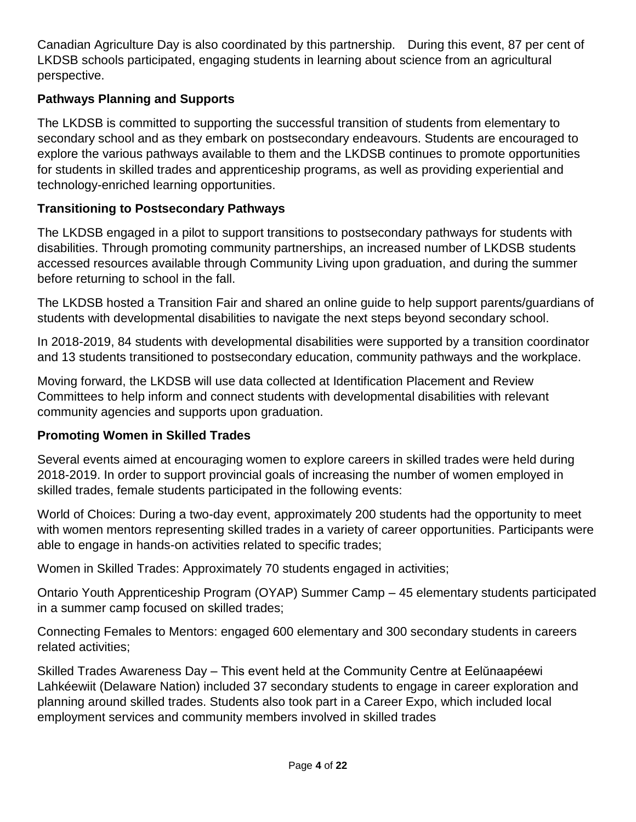Canadian Agriculture Day is also coordinated by this partnership. During this event, 87 per cent of LKDSB schools participated, engaging students in learning about science from an agricultural perspective.

### **Pathways Planning and Supports**

The LKDSB is committed to supporting the successful transition of students from elementary to secondary school and as they embark on postsecondary endeavours. Students are encouraged to explore the various pathways available to them and the LKDSB continues to promote opportunities for students in skilled trades and apprenticeship programs, as well as providing experiential and technology-enriched learning opportunities.

### **Transitioning to Postsecondary Pathways**

The LKDSB engaged in a pilot to support transitions to postsecondary pathways for students with disabilities. Through promoting community partnerships, an increased number of LKDSB students accessed resources available through Community Living upon graduation, and during the summer before returning to school in the fall.

The LKDSB hosted a Transition Fair and shared an online guide to help support parents/guardians of students with developmental disabilities to navigate the next steps beyond secondary school.

In 2018-2019, 84 students with developmental disabilities were supported by a transition coordinator and 13 students transitioned to postsecondary education, community pathways and the workplace.

Moving forward, the LKDSB will use data collected at Identification Placement and Review Committees to help inform and connect students with developmental disabilities with relevant community agencies and supports upon graduation.

# **Promoting Women in Skilled Trades**

Several events aimed at encouraging women to explore careers in skilled trades were held during 2018-2019. In order to support provincial goals of increasing the number of women employed in skilled trades, female students participated in the following events:

World of Choices: During a two-day event, approximately 200 students had the opportunity to meet with women mentors representing skilled trades in a variety of career opportunities. Participants were able to engage in hands-on activities related to specific trades;

Women in Skilled Trades: Approximately 70 students engaged in activities;

Ontario Youth Apprenticeship Program (OYAP) Summer Camp – 45 elementary students participated in a summer camp focused on skilled trades;

Connecting Females to Mentors: engaged 600 elementary and 300 secondary students in careers related activities;

Skilled Trades Awareness Day – This event held at the Community Centre at Eelŭnaapéewi Lahkéewiit (Delaware Nation) included 37 secondary students to engage in career exploration and planning around skilled trades. Students also took part in a Career Expo, which included local employment services and community members involved in skilled trades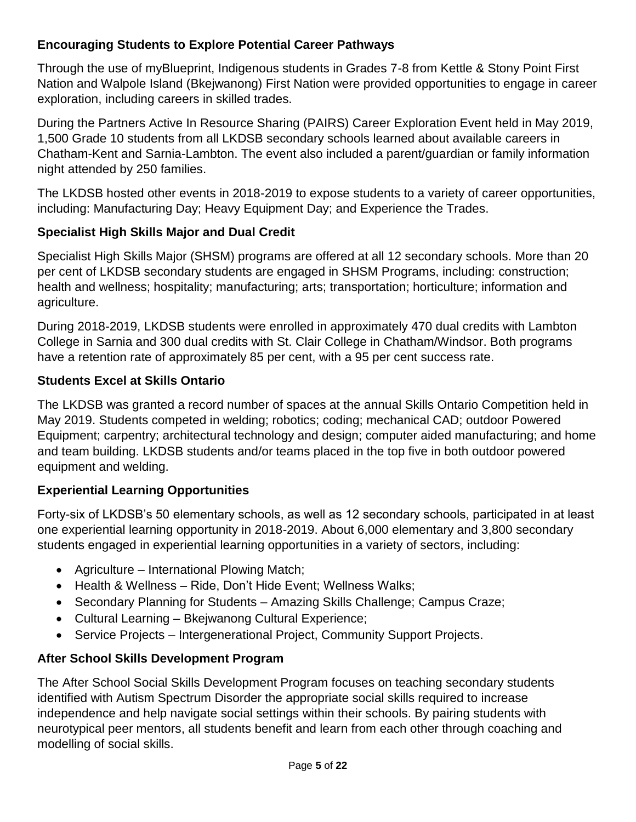# **Encouraging Students to Explore Potential Career Pathways**

Through the use of myBlueprint, Indigenous students in Grades 7-8 from Kettle & Stony Point First Nation and Walpole Island (Bkejwanong) First Nation were provided opportunities to engage in career exploration, including careers in skilled trades.

During the Partners Active In Resource Sharing (PAIRS) Career Exploration Event held in May 2019, 1,500 Grade 10 students from all LKDSB secondary schools learned about available careers in Chatham-Kent and Sarnia-Lambton. The event also included a parent/guardian or family information night attended by 250 families.

The LKDSB hosted other events in 2018-2019 to expose students to a variety of career opportunities, including: Manufacturing Day; Heavy Equipment Day; and Experience the Trades.

### **Specialist High Skills Major and Dual Credit**

Specialist High Skills Major (SHSM) programs are offered at all 12 secondary schools. More than 20 per cent of LKDSB secondary students are engaged in SHSM Programs, including: construction; health and wellness; hospitality; manufacturing; arts; transportation; horticulture; information and agriculture.

During 2018-2019, LKDSB students were enrolled in approximately 470 dual credits with Lambton College in Sarnia and 300 dual credits with St. Clair College in Chatham/Windsor. Both programs have a retention rate of approximately 85 per cent, with a 95 per cent success rate.

# **Students Excel at Skills Ontario**

The LKDSB was granted a record number of spaces at the annual Skills Ontario Competition held in May 2019. Students competed in welding; robotics; coding; mechanical CAD; outdoor Powered Equipment; carpentry; architectural technology and design; computer aided manufacturing; and home and team building. LKDSB students and/or teams placed in the top five in both outdoor powered equipment and welding.

# **Experiential Learning Opportunities**

Forty-six of LKDSB's 50 elementary schools, as well as 12 secondary schools, participated in at least one experiential learning opportunity in 2018-2019. About 6,000 elementary and 3,800 secondary students engaged in experiential learning opportunities in a variety of sectors, including:

- Agriculture International Plowing Match;
- Health & Wellness Ride, Don't Hide Event; Wellness Walks;
- Secondary Planning for Students Amazing Skills Challenge; Campus Craze;
- Cultural Learning Bkejwanong Cultural Experience;
- Service Projects Intergenerational Project, Community Support Projects.

# **After School Skills Development Program**

The After School Social Skills Development Program focuses on teaching secondary students identified with Autism Spectrum Disorder the appropriate social skills required to increase independence and help navigate social settings within their schools. By pairing students with neurotypical peer mentors, all students benefit and learn from each other through coaching and modelling of social skills.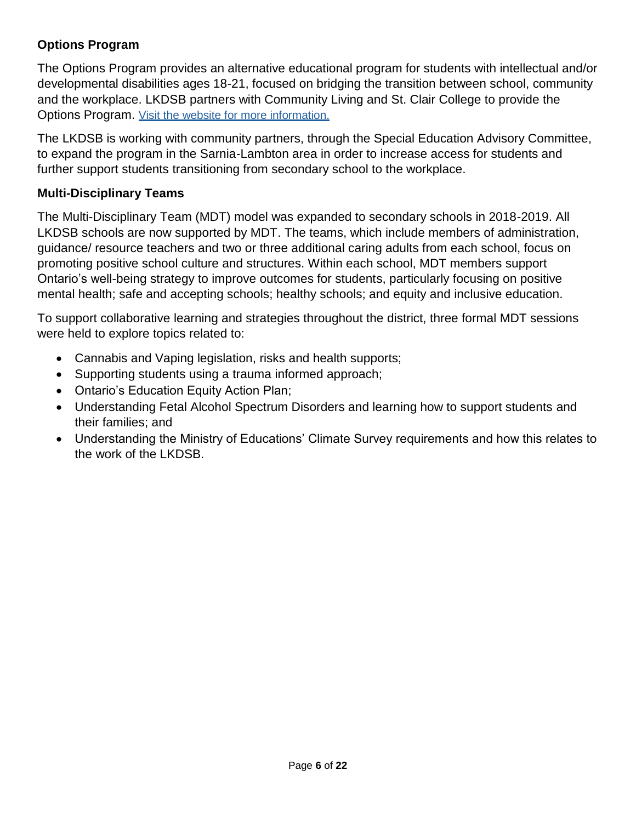# **Options Program**

The Options Program provides an alternative educational program for students with intellectual and/or developmental disabilities ages 18-21, focused on bridging the transition between school, community and the workplace. LKDSB partners with Community Living and St. Clair College to provide the Options Program. [Visit the website for more information.](https://www.lkdsb.net/Board/SpecialEducation/ProgramsServices/Pages/Options-Program.aspx)

The LKDSB is working with community partners, through the Special Education Advisory Committee, to expand the program in the Sarnia-Lambton area in order to increase access for students and further support students transitioning from secondary school to the workplace.

### **Multi-Disciplinary Teams**

The Multi-Disciplinary Team (MDT) model was expanded to secondary schools in 2018-2019. All LKDSB schools are now supported by MDT. The teams, which include members of administration, guidance/ resource teachers and two or three additional caring adults from each school, focus on promoting positive school culture and structures. Within each school, MDT members support Ontario's well-being strategy to improve outcomes for students, particularly focusing on positive mental health; safe and accepting schools; healthy schools; and equity and inclusive education.

To support collaborative learning and strategies throughout the district, three formal MDT sessions were held to explore topics related to:

- Cannabis and Vaping legislation, risks and health supports;
- Supporting students using a trauma informed approach;
- Ontario's Education Equity Action Plan;
- Understanding Fetal Alcohol Spectrum Disorders and learning how to support students and their families; and
- Understanding the Ministry of Educations' Climate Survey requirements and how this relates to the work of the LKDSB.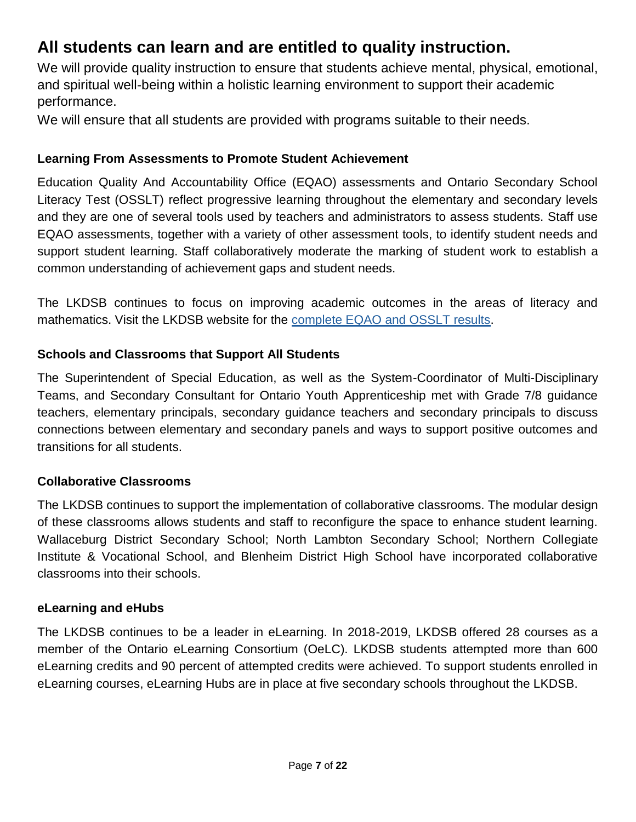# **All students can learn and are entitled to quality instruction.**

We will provide quality instruction to ensure that students achieve mental, physical, emotional, and spiritual well-being within a holistic learning environment to support their academic performance.

We will ensure that all students are provided with programs suitable to their needs.

# **Learning From Assessments to Promote Student Achievement**

Education Quality And Accountability Office (EQAO) assessments and Ontario Secondary School Literacy Test (OSSLT) reflect progressive learning throughout the elementary and secondary levels and they are one of several tools used by teachers and administrators to assess students. Staff use EQAO assessments, together with a variety of other assessment tools, to identify student needs and support student learning. Staff collaboratively moderate the marking of student work to establish a common understanding of achievement gaps and student needs.

The LKDSB continues to focus on improving academic outcomes in the areas of literacy and mathematics. Visit the LKDSB website for the complete EQAO and OSSLT results.

# **Schools and Classrooms that Support All Students**

The Superintendent of Special Education, as well as the System-Coordinator of Multi-Disciplinary Teams, and Secondary Consultant for Ontario Youth Apprenticeship met with Grade 7/8 guidance teachers, elementary principals, secondary guidance teachers and secondary principals to discuss connections between elementary and secondary panels and ways to support positive outcomes and transitions for all students.

# **Collaborative Classrooms**

The LKDSB continues to support the implementation of collaborative classrooms. The modular design of these classrooms allows students and staff to reconfigure the space to enhance student learning. Wallaceburg District Secondary School; North Lambton Secondary School; Northern Collegiate Institute & Vocational School, and Blenheim District High School have incorporated collaborative classrooms into their schools.

# **eLearning and eHubs**

The LKDSB continues to be a leader in eLearning. In 2018-2019, LKDSB offered 28 courses as a member of the Ontario eLearning Consortium (OeLC). LKDSB students attempted more than 600 eLearning credits and 90 percent of attempted credits were achieved. To support students enrolled in eLearning courses, eLearning Hubs are in place at five secondary schools throughout the LKDSB.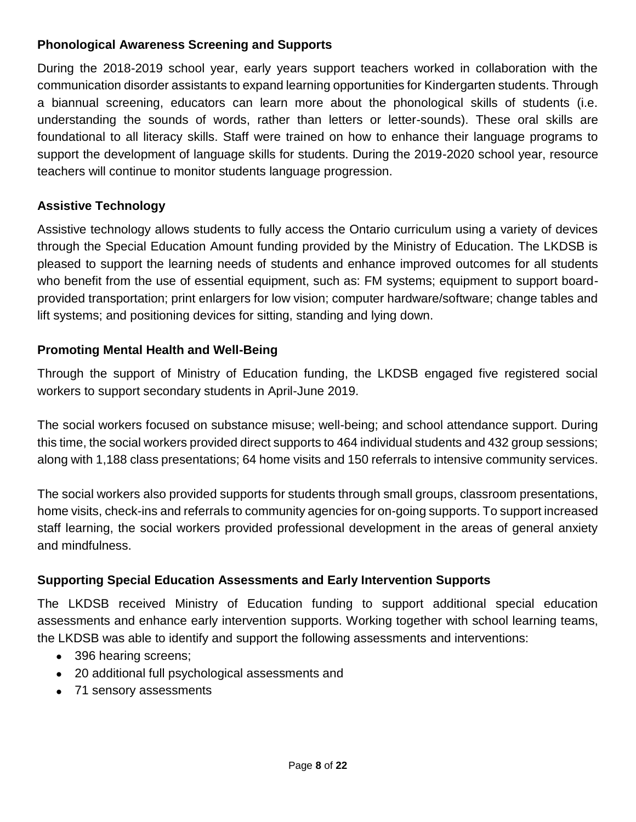### **Phonological Awareness Screening and Supports**

During the 2018-2019 school year, early years support teachers worked in collaboration with the communication disorder assistants to expand learning opportunities for Kindergarten students. Through a biannual screening, educators can learn more about the phonological skills of students (i.e. understanding the sounds of words, rather than letters or letter-sounds). These oral skills are foundational to all literacy skills. Staff were trained on how to enhance their language programs to support the development of language skills for students. During the 2019-2020 school year, resource teachers will continue to monitor students language progression.

# **Assistive Technology**

Assistive technology allows students to fully access the Ontario curriculum using a variety of devices through the Special Education Amount funding provided by the Ministry of Education. The LKDSB is pleased to support the learning needs of students and enhance improved outcomes for all students who benefit from the use of essential equipment, such as: FM systems; equipment to support boardprovided transportation; print enlargers for low vision; computer hardware/software; change tables and lift systems; and positioning devices for sitting, standing and lying down.

### **Promoting Mental Health and Well-Being**

Through the support of Ministry of Education funding, the LKDSB engaged five registered social workers to support secondary students in April-June 2019.

The social workers focused on substance misuse; well-being; and school attendance support. During this time, the social workers provided direct supports to 464 individual students and 432 group sessions; along with 1,188 class presentations; 64 home visits and 150 referrals to intensive community services.

The social workers also provided supports for students through small groups, classroom presentations, home visits, check-ins and referrals to community agencies for on-going supports. To support increased staff learning, the social workers provided professional development in the areas of general anxiety and mindfulness.

# **Supporting Special Education Assessments and Early Intervention Supports**

The LKDSB received Ministry of Education funding to support additional special education assessments and enhance early intervention supports. Working together with school learning teams, the LKDSB was able to identify and support the following assessments and interventions:

- 396 hearing screens;
- 20 additional full psychological assessments and
- 71 sensory assessments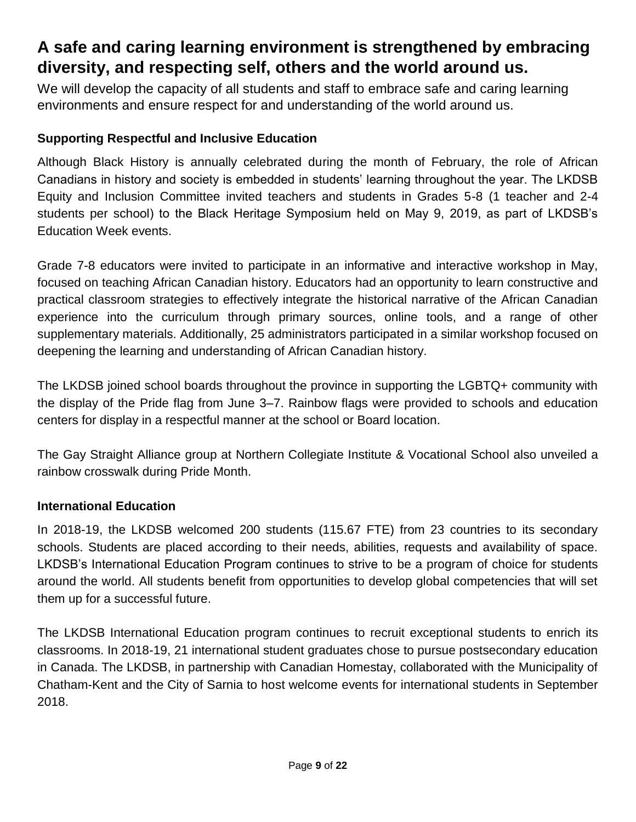# **A safe and caring learning environment is strengthened by embracing diversity, and respecting self, others and the world around us.**

We will develop the capacity of all students and staff to embrace safe and caring learning environments and ensure respect for and understanding of the world around us.

# **Supporting Respectful and Inclusive Education**

Although Black History is annually celebrated during the month of February, the role of African Canadians in history and society is embedded in students' learning throughout the year. The LKDSB Equity and Inclusion Committee invited teachers and students in Grades 5-8 (1 teacher and 2-4 students per school) to the Black Heritage Symposium held on May 9, 2019, as part of LKDSB's Education Week events.

Grade 7-8 educators were invited to participate in an informative and interactive workshop in May, focused on teaching African Canadian history. Educators had an opportunity to learn constructive and practical classroom strategies to effectively integrate the historical narrative of the African Canadian experience into the curriculum through primary sources, online tools, and a range of other supplementary materials. Additionally, 25 administrators participated in a similar workshop focused on deepening the learning and understanding of African Canadian history.

The LKDSB joined school boards throughout the province in supporting the LGBTQ+ community with the display of the Pride flag from June 3–7. Rainbow flags were provided to schools and education centers for display in a respectful manner at the school or Board location.

The Gay Straight Alliance group at Northern Collegiate Institute & Vocational School also unveiled a rainbow crosswalk during Pride Month.

#### **International Education**

In 2018-19, the LKDSB welcomed 200 students (115.67 FTE) from 23 countries to its secondary schools. Students are placed according to their needs, abilities, requests and availability of space. LKDSB's International Education Program continues to strive to be a program of choice for students around the world. All students benefit from opportunities to develop global competencies that will set them up for a successful future.

The LKDSB International Education program continues to recruit exceptional students to enrich its classrooms. In 2018-19, 21 international student graduates chose to pursue postsecondary education in Canada. The LKDSB, in partnership with Canadian Homestay, collaborated with the Municipality of Chatham-Kent and the City of Sarnia to host welcome events for international students in September 2018.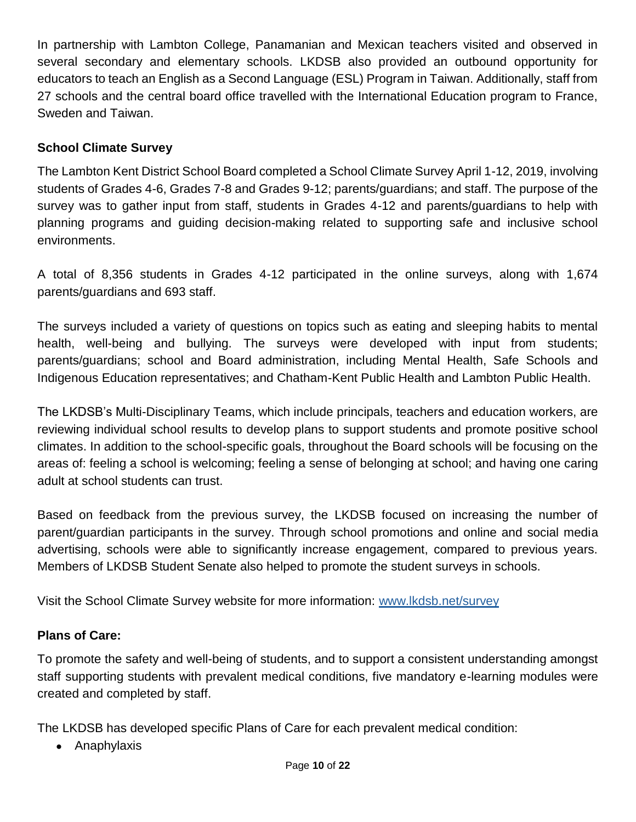In partnership with Lambton College, Panamanian and Mexican teachers visited and observed in several secondary and elementary schools. LKDSB also provided an outbound opportunity for educators to teach an English as a Second Language (ESL) Program in Taiwan. Additionally, staff from 27 schools and the central board office travelled with the International Education program to France, Sweden and Taiwan.

# **School Climate Survey**

The Lambton Kent District School Board completed a School Climate Survey April 1-12, 2019, involving students of Grades 4-6, Grades 7-8 and Grades 9-12; parents/guardians; and staff. The purpose of the survey was to gather input from staff, students in Grades 4-12 and parents/guardians to help with planning programs and guiding decision-making related to supporting safe and inclusive school environments.

A total of 8,356 students in Grades 4-12 participated in the online surveys, along with 1,674 parents/guardians and 693 staff.

The surveys included a variety of questions on topics such as eating and sleeping habits to mental health, well-being and bullying. The surveys were developed with input from students; parents/guardians; school and Board administration, including Mental Health, Safe Schools and Indigenous Education representatives; and Chatham-Kent Public Health and Lambton Public Health.

The LKDSB's Multi-Disciplinary Teams, which include principals, teachers and education workers, are reviewing individual school results to develop plans to support students and promote positive school climates. In addition to the school-specific goals, throughout the Board schools will be focusing on the areas of: feeling a school is welcoming; feeling a sense of belonging at school; and having one caring adult at school students can trust.

Based on feedback from the previous survey, the LKDSB focused on increasing the number of parent/guardian participants in the survey. Through school promotions and online and social media advertising, schools were able to significantly increase engagement, compared to previous years. Members of LKDSB Student Senate also helped to promote the student surveys in schools.

Visit the School Climate Survey website for more information: www.lkdsb.net/survey

#### **Plans of Care:**

To promote the safety and well-being of students, and to support a consistent understanding amongst staff supporting students with prevalent medical conditions, five mandatory e-learning modules were created and completed by staff.

The LKDSB has developed specific Plans of Care for each prevalent medical condition:

• Anaphylaxis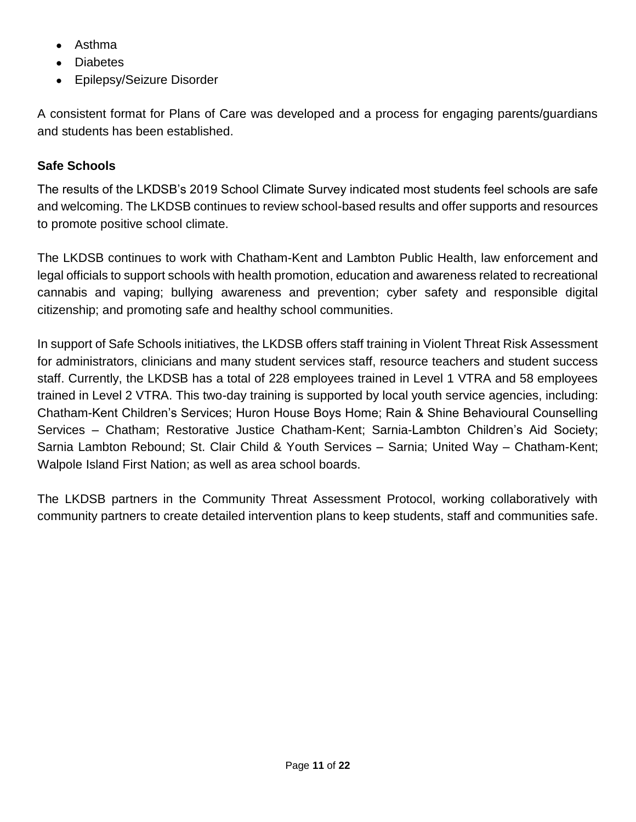- Asthma
- Diabetes
- Epilepsy/Seizure Disorder

A consistent format for Plans of Care was developed and a process for engaging parents/guardians and students has been established.

#### **Safe Schools**

The results of the LKDSB's 2019 School Climate Survey indicated most students feel schools are safe and welcoming. The LKDSB continues to review school-based results and offer supports and resources to promote positive school climate.

The LKDSB continues to work with Chatham-Kent and Lambton Public Health, law enforcement and legal officials to support schools with health promotion, education and awareness related to recreational cannabis and vaping; bullying awareness and prevention; cyber safety and responsible digital citizenship; and promoting safe and healthy school communities.

In support of Safe Schools initiatives, the LKDSB offers staff training in Violent Threat Risk Assessment for administrators, clinicians and many student services staff, resource teachers and student success staff. Currently, the LKDSB has a total of 228 employees trained in Level 1 VTRA and 58 employees trained in Level 2 VTRA. This two-day training is supported by local youth service agencies, including: Chatham-Kent Children's Services; Huron House Boys Home; Rain & Shine Behavioural Counselling Services – Chatham; Restorative Justice Chatham-Kent; Sarnia-Lambton Children's Aid Society; Sarnia Lambton Rebound; St. Clair Child & Youth Services – Sarnia; United Way – Chatham-Kent; Walpole Island First Nation; as well as area school boards.

The LKDSB partners in the Community Threat Assessment Protocol, working collaboratively with community partners to create detailed intervention plans to keep students, staff and communities safe.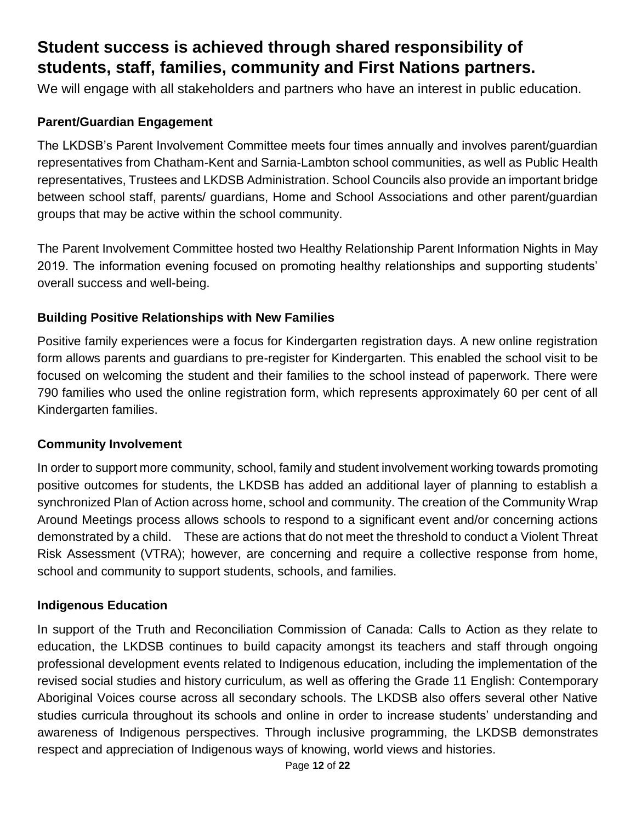# **Student success is achieved through shared responsibility of students, staff, families, community and First Nations partners.**

We will engage with all stakeholders and partners who have an interest in public education.

# **Parent/Guardian Engagement**

The LKDSB's Parent Involvement Committee meets four times annually and involves parent/guardian representatives from Chatham-Kent and Sarnia-Lambton school communities, as well as Public Health representatives, Trustees and LKDSB Administration. School Councils also provide an important bridge between school staff, parents/ guardians, Home and School Associations and other parent/guardian groups that may be active within the school community.

The Parent Involvement Committee hosted two Healthy Relationship Parent Information Nights in May 2019. The information evening focused on promoting healthy relationships and supporting students' overall success and well-being.

### **Building Positive Relationships with New Families**

Positive family experiences were a focus for Kindergarten registration days. A new online registration form allows parents and guardians to pre-register for Kindergarten. This enabled the school visit to be focused on welcoming the student and their families to the school instead of paperwork. There were 790 families who used the online registration form, which represents approximately 60 per cent of all Kindergarten families.

#### **Community Involvement**

In order to support more community, school, family and student involvement working towards promoting positive outcomes for students, the LKDSB has added an additional layer of planning to establish a synchronized Plan of Action across home, school and community. The creation of the Community Wrap Around Meetings process allows schools to respond to a significant event and/or concerning actions demonstrated by a child. These are actions that do not meet the threshold to conduct a Violent Threat Risk Assessment (VTRA); however, are concerning and require a collective response from home, school and community to support students, schools, and families.

#### **Indigenous Education**

In support of the Truth and Reconciliation Commission of Canada: Calls to Action as they relate to education, the LKDSB continues to build capacity amongst its teachers and staff through ongoing professional development events related to Indigenous education, including the implementation of the revised social studies and history curriculum, as well as offering the Grade 11 English: Contemporary Aboriginal Voices course across all secondary schools. The LKDSB also offers several other Native studies curricula throughout its schools and online in order to increase students' understanding and awareness of Indigenous perspectives. Through inclusive programming, the LKDSB demonstrates respect and appreciation of Indigenous ways of knowing, world views and histories.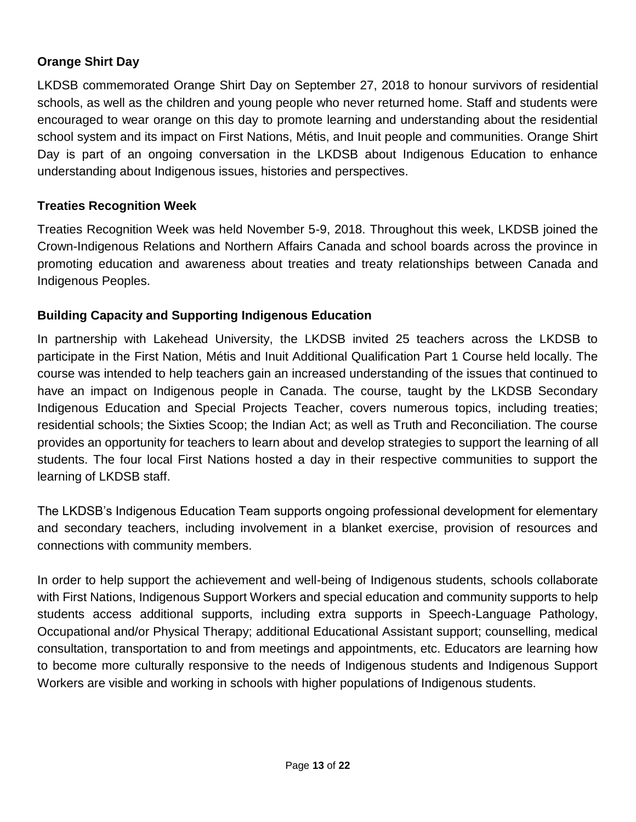### **Orange Shirt Day**

LKDSB commemorated Orange Shirt Day on September 27, 2018 to honour survivors of residential schools, as well as the children and young people who never returned home. Staff and students were encouraged to wear orange on this day to promote learning and understanding about the residential school system and its impact on First Nations, Métis, and Inuit people and communities. Orange Shirt Day is part of an ongoing conversation in the LKDSB about Indigenous Education to enhance understanding about Indigenous issues, histories and perspectives.

### **Treaties Recognition Week**

Treaties Recognition Week was held November 5-9, 2018. Throughout this week, LKDSB joined the Crown-Indigenous Relations and Northern Affairs Canada and school boards across the province in promoting education and awareness about treaties and treaty relationships between Canada and Indigenous Peoples.

### **Building Capacity and Supporting Indigenous Education**

In partnership with Lakehead University, the LKDSB invited 25 teachers across the LKDSB to participate in the First Nation, Métis and Inuit Additional Qualification Part 1 Course held locally. The course was intended to help teachers gain an increased understanding of the issues that continued to have an impact on Indigenous people in Canada. The course, taught by the LKDSB Secondary Indigenous Education and Special Projects Teacher, covers numerous topics, including treaties; residential schools; the Sixties Scoop; the Indian Act; as well as Truth and Reconciliation. The course provides an opportunity for teachers to learn about and develop strategies to support the learning of all students. The four local First Nations hosted a day in their respective communities to support the learning of LKDSB staff.

The LKDSB's Indigenous Education Team supports ongoing professional development for elementary and secondary teachers, including involvement in a blanket exercise, provision of resources and connections with community members.

In order to help support the achievement and well-being of Indigenous students, schools collaborate with First Nations, Indigenous Support Workers and special education and community supports to help students access additional supports, including extra supports in Speech-Language Pathology, Occupational and/or Physical Therapy; additional Educational Assistant support; counselling, medical consultation, transportation to and from meetings and appointments, etc. Educators are learning how to become more culturally responsive to the needs of Indigenous students and Indigenous Support Workers are visible and working in schools with higher populations of Indigenous students.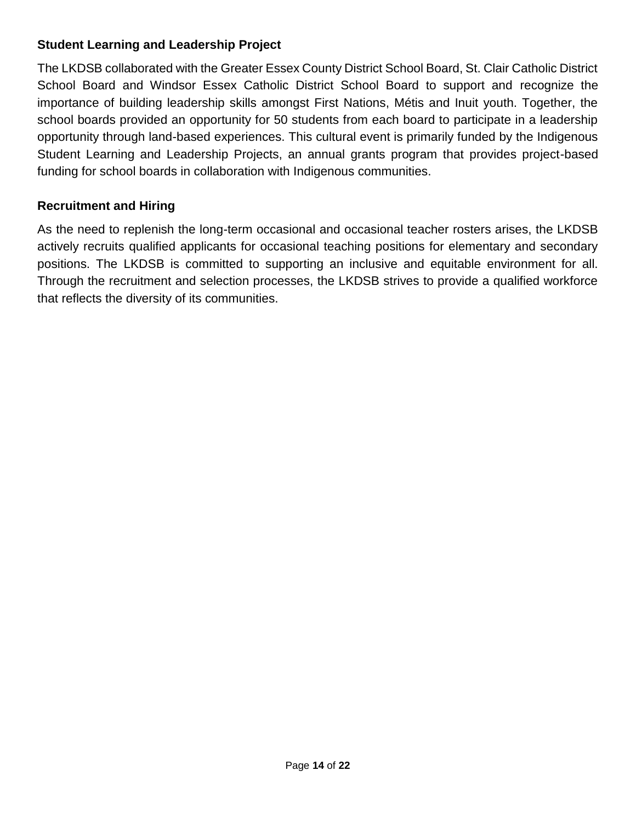### **Student Learning and Leadership Project**

The LKDSB collaborated with the Greater Essex County District School Board, St. Clair Catholic District School Board and Windsor Essex Catholic District School Board to support and recognize the importance of building leadership skills amongst First Nations, Métis and Inuit youth. Together, the school boards provided an opportunity for 50 students from each board to participate in a leadership opportunity through land-based experiences. This cultural event is primarily funded by the Indigenous Student Learning and Leadership Projects, an annual grants program that provides project-based funding for school boards in collaboration with Indigenous communities.

# **Recruitment and Hiring**

As the need to replenish the long-term occasional and occasional teacher rosters arises, the LKDSB actively recruits qualified applicants for occasional teaching positions for elementary and secondary positions. The LKDSB is committed to supporting an inclusive and equitable environment for all. Through the recruitment and selection processes, the LKDSB strives to provide a qualified workforce that reflects the diversity of its communities.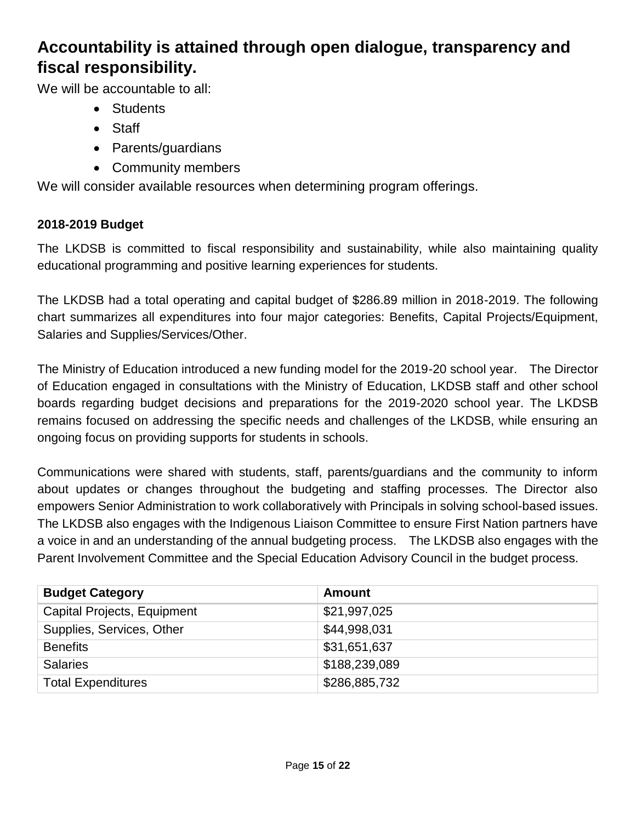# **Accountability is attained through open dialogue, transparency and fiscal responsibility.**

We will be accountable to all:

- Students
- Staff
- Parents/guardians
- Community members

We will consider available resources when determining program offerings.

# **2018-2019 Budget**

The LKDSB is committed to fiscal responsibility and sustainability, while also maintaining quality educational programming and positive learning experiences for students.

The LKDSB had a total operating and capital budget of \$286.89 million in 2018-2019. The following chart summarizes all expenditures into four major categories: Benefits, Capital Projects/Equipment, Salaries and Supplies/Services/Other.

The Ministry of Education introduced a new funding model for the 2019-20 school year. The Director of Education engaged in consultations with the Ministry of Education, LKDSB staff and other school boards regarding budget decisions and preparations for the 2019-2020 school year. The LKDSB remains focused on addressing the specific needs and challenges of the LKDSB, while ensuring an ongoing focus on providing supports for students in schools.

Communications were shared with students, staff, parents/guardians and the community to inform about updates or changes throughout the budgeting and staffing processes. The Director also empowers Senior Administration to work collaboratively with Principals in solving school-based issues. The LKDSB also engages with the Indigenous Liaison Committee to ensure First Nation partners have a voice in and an understanding of the annual budgeting process. The LKDSB also engages with the Parent Involvement Committee and the Special Education Advisory Council in the budget process.

| <b>Budget Category</b>      | <b>Amount</b> |
|-----------------------------|---------------|
| Capital Projects, Equipment | \$21,997,025  |
| Supplies, Services, Other   | \$44,998,031  |
| <b>Benefits</b>             | \$31,651,637  |
| <b>Salaries</b>             | \$188,239,089 |
| <b>Total Expenditures</b>   | \$286,885,732 |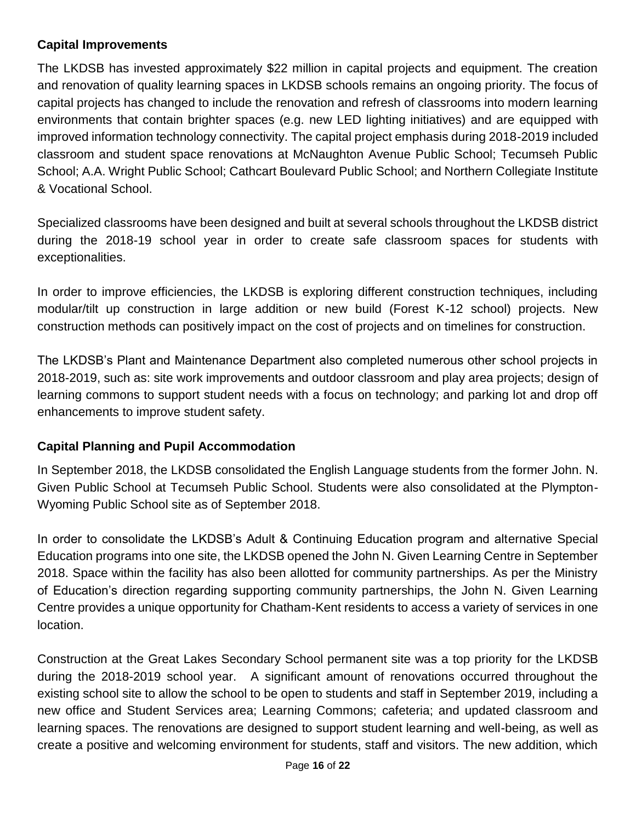### **Capital Improvements**

The LKDSB has invested approximately \$22 million in capital projects and equipment. The creation and renovation of quality learning spaces in LKDSB schools remains an ongoing priority. The focus of capital projects has changed to include the renovation and refresh of classrooms into modern learning environments that contain brighter spaces (e.g. new LED lighting initiatives) and are equipped with improved information technology connectivity. The capital project emphasis during 2018-2019 included classroom and student space renovations at McNaughton Avenue Public School; Tecumseh Public School; A.A. Wright Public School; Cathcart Boulevard Public School; and Northern Collegiate Institute & Vocational School.

Specialized classrooms have been designed and built at several schools throughout the LKDSB district during the 2018-19 school year in order to create safe classroom spaces for students with exceptionalities.

In order to improve efficiencies, the LKDSB is exploring different construction techniques, including modular/tilt up construction in large addition or new build (Forest K-12 school) projects. New construction methods can positively impact on the cost of projects and on timelines for construction.

The LKDSB's Plant and Maintenance Department also completed numerous other school projects in 2018-2019, such as: site work improvements and outdoor classroom and play area projects; design of learning commons to support student needs with a focus on technology; and parking lot and drop off enhancements to improve student safety.

# **Capital Planning and Pupil Accommodation**

In September 2018, the LKDSB consolidated the English Language students from the former John. N. Given Public School at Tecumseh Public School. Students were also consolidated at the Plympton-Wyoming Public School site as of September 2018.

In order to consolidate the LKDSB's Adult & Continuing Education program and alternative Special Education programs into one site, the LKDSB opened the John N. Given Learning Centre in September 2018. Space within the facility has also been allotted for community partnerships. As per the Ministry of Education's direction regarding supporting community partnerships, the John N. Given Learning Centre provides a unique opportunity for Chatham-Kent residents to access a variety of services in one location.

Construction at the Great Lakes Secondary School permanent site was a top priority for the LKDSB during the 2018-2019 school year. A significant amount of renovations occurred throughout the existing school site to allow the school to be open to students and staff in September 2019, including a new office and Student Services area; Learning Commons; cafeteria; and updated classroom and learning spaces. The renovations are designed to support student learning and well-being, as well as create a positive and welcoming environment for students, staff and visitors. The new addition, which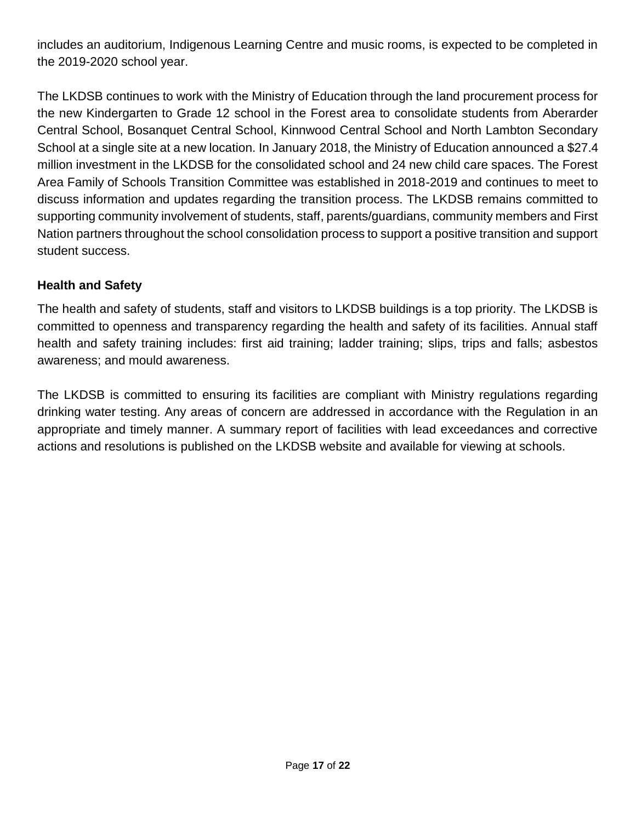includes an auditorium, Indigenous Learning Centre and music rooms, is expected to be completed in the 2019-2020 school year.

The LKDSB continues to work with the Ministry of Education through the land procurement process for the new Kindergarten to Grade 12 school in the Forest area to consolidate students from Aberarder Central School, Bosanquet Central School, Kinnwood Central School and North Lambton Secondary School at a single site at a new location. In January 2018, the Ministry of Education announced a \$27.4 million investment in the LKDSB for the consolidated school and 24 new child care spaces. The Forest Area Family of Schools Transition Committee was established in 2018-2019 and continues to meet to discuss information and updates regarding the transition process. The LKDSB remains committed to supporting community involvement of students, staff, parents/guardians, community members and First Nation partners throughout the school consolidation process to support a positive transition and support student success.

# **Health and Safety**

The health and safety of students, staff and visitors to LKDSB buildings is a top priority. The LKDSB is committed to openness and transparency regarding the health and safety of its facilities. Annual staff health and safety training includes: first aid training; ladder training; slips, trips and falls; asbestos awareness; and mould awareness.

The LKDSB is committed to ensuring its facilities are compliant with Ministry regulations regarding drinking water testing. Any areas of concern are addressed in accordance with the Regulation in an appropriate and timely manner. A summary report of facilities with lead exceedances and corrective actions and resolutions is published on the LKDSB website and available for viewing at schools.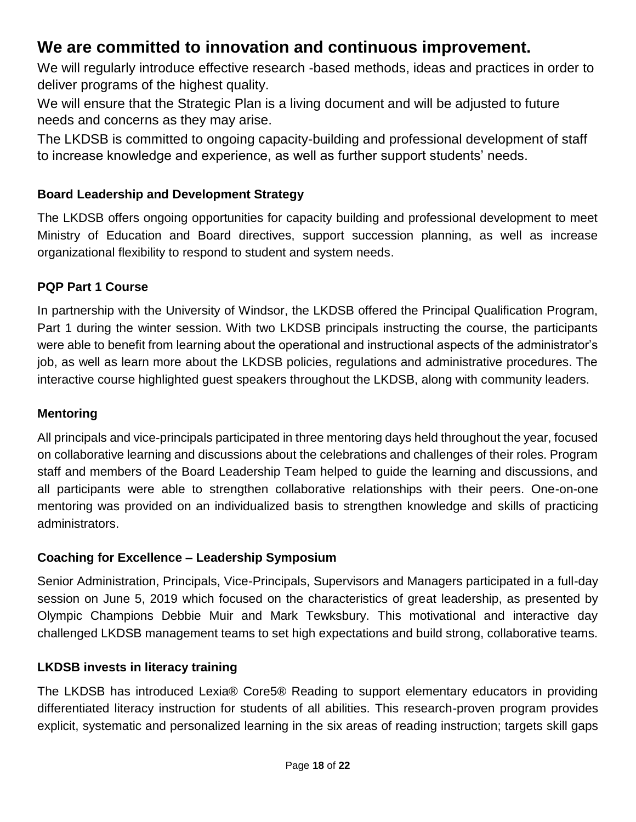# **We are committed to innovation and continuous improvement.**

We will regularly introduce effective research -based methods, ideas and practices in order to deliver programs of the highest quality.

We will ensure that the Strategic Plan is a living document and will be adjusted to future needs and concerns as they may arise.

The LKDSB is committed to ongoing capacity-building and professional development of staff to increase knowledge and experience, as well as further support students' needs.

# **Board Leadership and Development Strategy**

The LKDSB offers ongoing opportunities for capacity building and professional development to meet Ministry of Education and Board directives, support succession planning, as well as increase organizational flexibility to respond to student and system needs.

# **PQP Part 1 Course**

In partnership with the University of Windsor, the LKDSB offered the Principal Qualification Program, Part 1 during the winter session. With two LKDSB principals instructing the course, the participants were able to benefit from learning about the operational and instructional aspects of the administrator's job, as well as learn more about the LKDSB policies, regulations and administrative procedures. The interactive course highlighted guest speakers throughout the LKDSB, along with community leaders.

### **Mentoring**

All principals and vice-principals participated in three mentoring days held throughout the year, focused on collaborative learning and discussions about the celebrations and challenges of their roles. Program staff and members of the Board Leadership Team helped to guide the learning and discussions, and all participants were able to strengthen collaborative relationships with their peers. One-on-one mentoring was provided on an individualized basis to strengthen knowledge and skills of practicing administrators.

#### **Coaching for Excellence – Leadership Symposium**

Senior Administration, Principals, Vice-Principals, Supervisors and Managers participated in a full-day session on June 5, 2019 which focused on the characteristics of great leadership, as presented by Olympic Champions Debbie Muir and Mark Tewksbury. This motivational and interactive day challenged LKDSB management teams to set high expectations and build strong, collaborative teams.

# **LKDSB invests in literacy training**

The LKDSB has introduced Lexia® Core5® Reading to support elementary educators in providing differentiated literacy instruction for students of all abilities. This research-proven program provides explicit, systematic and personalized learning in the six areas of reading instruction; targets skill gaps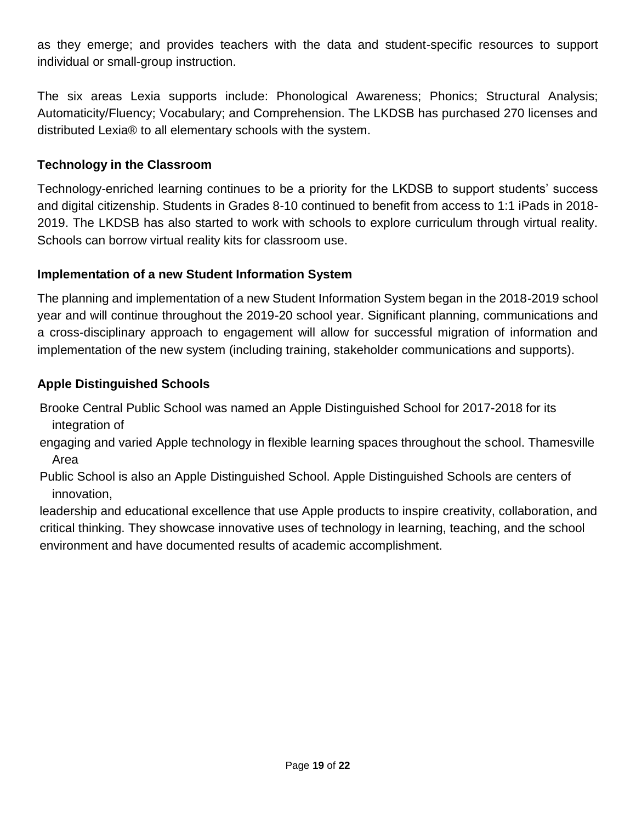as they emerge; and provides teachers with the data and student-specific resources to support individual or small-group instruction.

The six areas Lexia supports include: Phonological Awareness; Phonics; Structural Analysis; Automaticity/Fluency; Vocabulary; and Comprehension. The LKDSB has purchased 270 licenses and distributed Lexia® to all elementary schools with the system.

### **Technology in the Classroom**

Technology-enriched learning continues to be a priority for the LKDSB to support students' success and digital citizenship. Students in Grades 8-10 continued to benefit from access to 1:1 iPads in 2018- 2019. The LKDSB has also started to work with schools to explore curriculum through virtual reality. Schools can borrow virtual reality kits for classroom use.

### **Implementation of a new Student Information System**

The planning and implementation of a new Student Information System began in the 2018-2019 school year and will continue throughout the 2019-20 school year. Significant planning, communications and a cross-disciplinary approach to engagement will allow for successful migration of information and implementation of the new system (including training, stakeholder communications and supports).

### **Apple Distinguished Schools**

Brooke Central Public School was named an Apple Distinguished School for 2017-2018 for its integration of

engaging and varied Apple technology in flexible learning spaces throughout the school. Thamesville Area

Public School is also an Apple Distinguished School. Apple Distinguished Schools are centers of innovation,

leadership and educational excellence that use Apple products to inspire creativity, collaboration, and critical thinking. They showcase innovative uses of technology in learning, teaching, and the school environment and have documented results of academic accomplishment.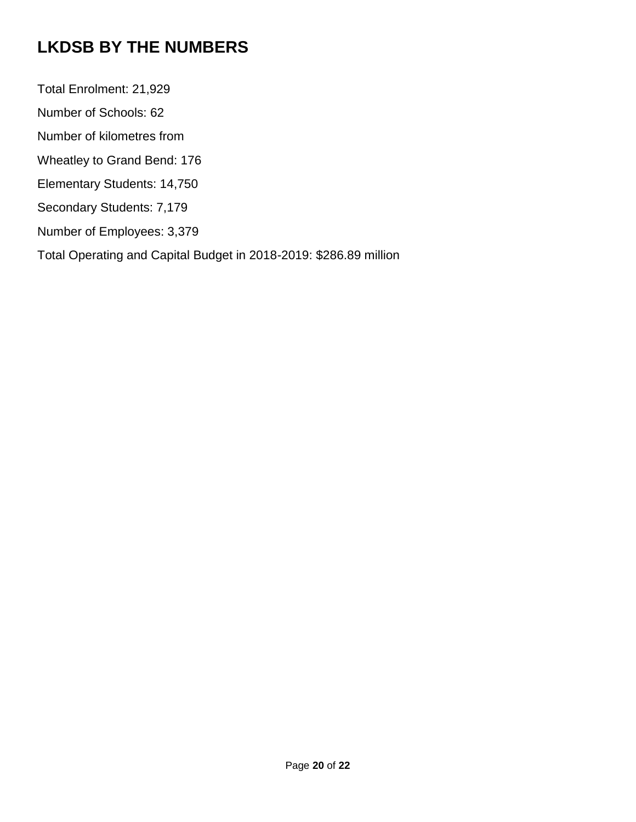# **LKDSB BY THE NUMBERS**

Total Enrolment: 21,929 Number of Schools: 62 Number of kilometres from Wheatley to Grand Bend: 176 Elementary Students: 14,750 Secondary Students: 7,179 Number of Employees: 3,379 Total Operating and Capital Budget in 2018-2019: \$286.89 million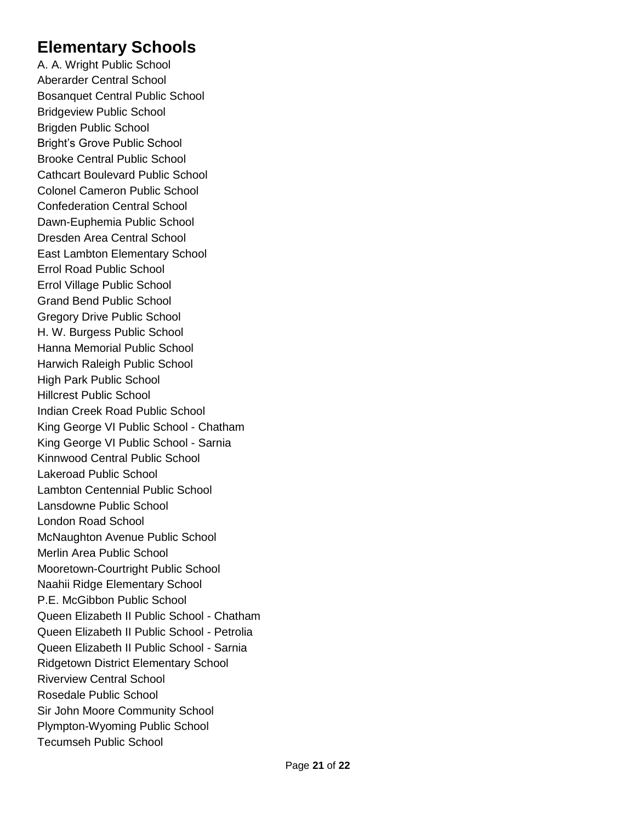# **Elementary Schools**

A. A. Wright Public School Aberarder Central School Bosanquet Central Public School Bridgeview Public School Brigden Public School Bright's Grove Public School Brooke Central Public School Cathcart Boulevard Public School Colonel Cameron Public School Confederation Central School Dawn-Euphemia Public School Dresden Area Central School East Lambton Elementary School Errol Road Public School Errol Village Public School Grand Bend Public School Gregory Drive Public School H. W. Burgess Public School Hanna Memorial Public School Harwich Raleigh Public School High Park Public School Hillcrest Public School Indian Creek Road Public School King George VI Public School - Chatham King George VI Public School - Sarnia Kinnwood Central Public School Lakeroad Public School Lambton Centennial Public School Lansdowne Public School London Road School McNaughton Avenue Public School Merlin Area Public School Mooretown-Courtright Public School Naahii Ridge Elementary School P.E. McGibbon Public School Queen Elizabeth II Public School - Chatham Queen Elizabeth II Public School - Petrolia Queen Elizabeth II Public School - Sarnia Ridgetown District Elementary School Riverview Central School Rosedale Public School Sir John Moore Community School Plympton-Wyoming Public School Tecumseh Public School